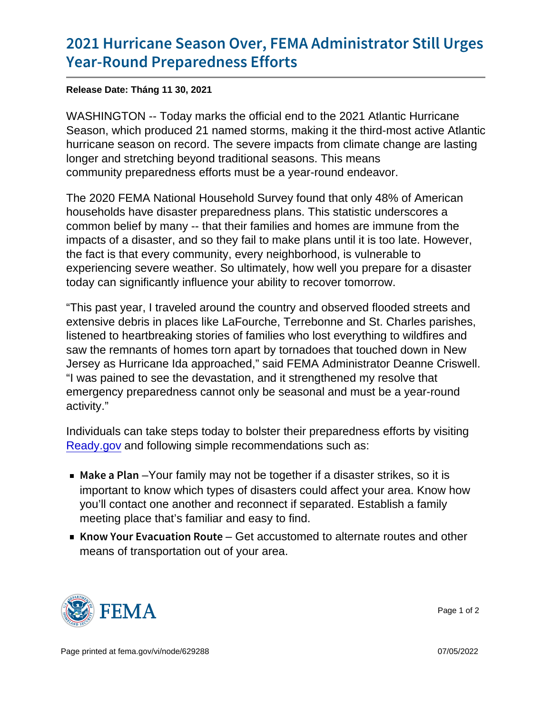## [2021 Hurricane Season Over, FEMA](https://www.fema.gov/press-release/20211130/2021-hurricane-season-over-fema-administrator-still-urges-year-round) Admin [Year-Round Prepare](https://www.fema.gov/press-release/20211130/2021-hurricane-season-over-fema-administrator-still-urges-year-round)dness Efforts

Release Date: Tháng 11 30, 2021

WASHINGTON -- Today marks the official end to the 2021 Atlantic Hurricane Season, which produced 21 named storms, making it the third-most active Atlantic hurricane season on record. The severe impacts from climate change are lasting longer and stretching beyond traditional seasons. This means community preparedness efforts must be a year-round endeavor.

The 2020 FEMA National Household Survey found that only 48% of American households have disaster preparedness plans. This statistic underscores a common belief by many -- that their families and homes are immune from the impacts of a disaster, and so they fail to make plans until it is too late. However, the fact is that every community, every neighborhood, is vulnerable to experiencing severe weather. So ultimately, how well you prepare for a disaster today can significantly influence your ability to recover tomorrow.

"This past year, I traveled around the country and observed flooded streets and extensive debris in places like LaFourche, Terrebonne and St. Charles parishes, listened to heartbreaking stories of families who lost everything to wildfires and saw the remnants of homes torn apart by tornadoes that touched down in New Jersey as Hurricane Ida approached," said FEMA Administrator Deanne Criswell. "I was pained to see the devastation, and it strengthened my resolve that emergency preparedness cannot only be seasonal and must be a year-round activity."

Individuals can take steps today to bolster their preparedness efforts by visiting [Ready.gov](https://www.ready.gov/) and following simple recommendations such as:

- $\blacksquare$  Make a -PY barm family may not be together if a disaster strikes, so it is important to know which types of disasters could affect your area. Know how you'll contact one another and reconnect if separated. Establish a family meeting place that's familiar and easy to find.
- Know Your EvacuatGetracoRustom the deternate routes and other means of transportation out of your area.



Page 1 of 2

Page printed at [fema.gov/vi/node/629288](https://www.fema.gov/vi/node/629288) 07/05/2022